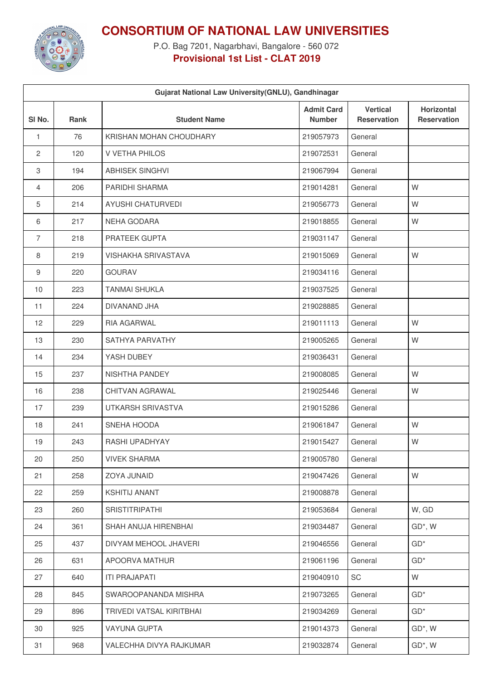

**CONSORTIUM OF NATIONAL LAW UNIVERSITIES**

P.O. Bag 7201, Nagarbhavi, Bangalore - 560 072 **Provisional 1st List - CLAT 2019**

| Gujarat National Law University(GNLU), Gandhinagar |      |                            |                                    |                                       |                                  |  |  |  |
|----------------------------------------------------|------|----------------------------|------------------------------------|---------------------------------------|----------------------------------|--|--|--|
| SI <sub>No.</sub>                                  | Rank | <b>Student Name</b>        | <b>Admit Card</b><br><b>Number</b> | <b>Vertical</b><br><b>Reservation</b> | Horizontal<br><b>Reservation</b> |  |  |  |
| $\mathbf{1}$                                       | 76   | KRISHAN MOHAN CHOUDHARY    | 219057973                          | General                               |                                  |  |  |  |
| 2                                                  | 120  | V VETHA PHILOS             | 219072531                          | General                               |                                  |  |  |  |
| 3                                                  | 194  | <b>ABHISEK SINGHVI</b>     | 219067994                          | General                               |                                  |  |  |  |
| 4                                                  | 206  | PARIDHI SHARMA             | 219014281                          | General                               | W                                |  |  |  |
| 5                                                  | 214  | AYUSHI CHATURVEDI          | 219056773                          | General                               | W                                |  |  |  |
| 6                                                  | 217  | NEHA GODARA                | 219018855                          | General                               | W                                |  |  |  |
| $\overline{7}$                                     | 218  | PRATEEK GUPTA              | 219031147                          | General                               |                                  |  |  |  |
| 8                                                  | 219  | <b>VISHAKHA SRIVASTAVA</b> | 219015069                          | General                               | W                                |  |  |  |
| 9                                                  | 220  | <b>GOURAV</b>              | 219034116                          | General                               |                                  |  |  |  |
| 10                                                 | 223  | <b>TANMAI SHUKLA</b>       | 219037525                          | General                               |                                  |  |  |  |
| 11                                                 | 224  | DIVANAND JHA               | 219028885                          | General                               |                                  |  |  |  |
| 12                                                 | 229  | RIA AGARWAL                | 219011113                          | General                               | W                                |  |  |  |
| 13                                                 | 230  | SATHYA PARVATHY            | 219005265                          | General                               | W                                |  |  |  |
| 14                                                 | 234  | YASH DUBEY                 | 219036431                          | General                               |                                  |  |  |  |
| 15                                                 | 237  | NISHTHA PANDEY             | 219008085                          | General                               | W                                |  |  |  |
| 16                                                 | 238  | <b>CHITVAN AGRAWAL</b>     | 219025446                          | General                               | W                                |  |  |  |
| 17                                                 | 239  | UTKARSH SRIVASTVA          | 219015286                          | General                               |                                  |  |  |  |
| 18                                                 | 241  | SNEHA HOODA                | 219061847                          | General                               | W                                |  |  |  |
| 19                                                 | 243  | RASHI UPADHYAY             | 219015427                          | General                               | W                                |  |  |  |
| 20                                                 | 250  | <b>VIVEK SHARMA</b>        | 219005780                          | General                               |                                  |  |  |  |
| 21                                                 | 258  | ZOYA JUNAID                | 219047426                          | General                               | W                                |  |  |  |
| 22                                                 | 259  | <b>KSHITIJ ANANT</b>       | 219008878                          | General                               |                                  |  |  |  |
| 23                                                 | 260  | <b>SRISTITRIPATHI</b>      | 219053684                          | General                               | W, GD                            |  |  |  |
| 24                                                 | 361  | SHAH ANUJA HIRENBHAI       | 219034487                          | General                               | GD*, W                           |  |  |  |
| 25                                                 | 437  | DIVYAM MEHOOL JHAVERI      | 219046556                          | General                               | $GD^*$                           |  |  |  |
| 26                                                 | 631  | APOORVA MATHUR             | 219061196                          | General                               | $GD^*$                           |  |  |  |
| 27                                                 | 640  | <b>ITI PRAJAPATI</b>       | 219040910                          | <b>SC</b>                             | W                                |  |  |  |
| 28                                                 | 845  | SWAROOPANANDA MISHRA       | 219073265                          | General                               | $GD^*$                           |  |  |  |
| 29                                                 | 896  | TRIVEDI VATSAL KIRITBHAI   | 219034269                          | General                               | $GD^*$                           |  |  |  |
| 30                                                 | 925  | <b>VAYUNA GUPTA</b>        | 219014373                          | General                               | $GD^*$ , W                       |  |  |  |
| 31                                                 | 968  | VALECHHA DIVYA RAJKUMAR    | 219032874                          | General                               | GD*, W                           |  |  |  |